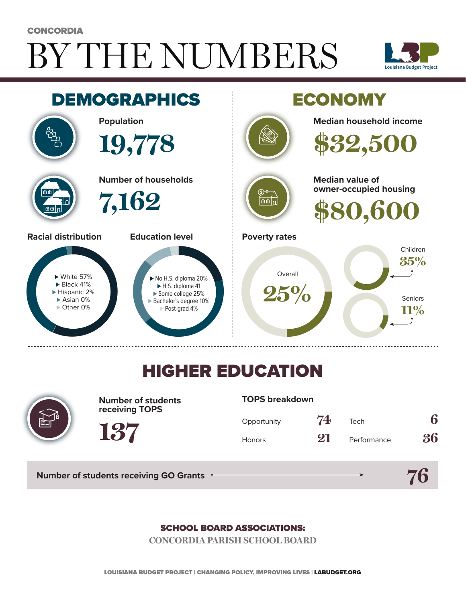# BY THE NUMBERS **CONCORDIA**





## HIGHER EDUCATION



**Number of students receiving TOPS**

#### **TOPS breakdown**

| Opportunity   | 74 | Tech        | 6  |
|---------------|----|-------------|----|
| <b>Honors</b> | 21 | Performance | 36 |

**76**

**Number of students receiving GO Grants**

**137**

#### SCHOOL BOARD ASSOCIATIONS:

**CONCORDIA PARISH SCHOOL BOARD**